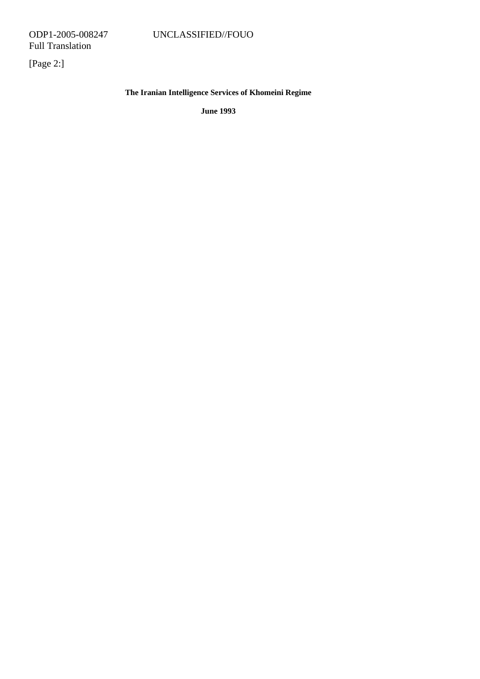[Page 2:]

# **The Iranian Intelligence Services of Khomeini Regime**

**June 1993**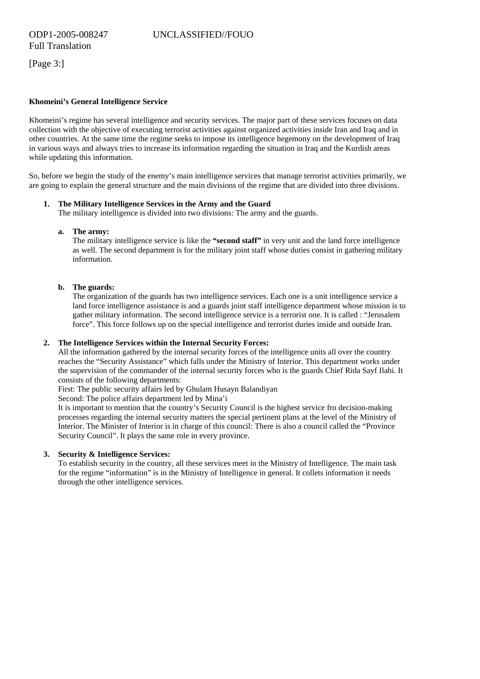[Page 3:]

## **Khomeini's General Intelligence Service**

Khomeini's regime has several intelligence and security services. The major part of these services focuses on data collection with the objective of executing terrorist activities against organized activities inside Iran and Iraq and in other countries. At the same time the regime seeks to impose its intelligence hegemony on the development of Iraq in various ways and always tries to increase its information regarding the situation in Iraq and the Kurdish areas while updating this information.

So, before we begin the study of the enemy's main intelligence services that manage terrorist activities primarily, we are going to explain the general structure and the main divisions of the regime that are divided into three divisions.

#### **1. The Military Intelligence Services in the Army and the Guard**

The military intelligence is divided into two divisions: The army and the guards.

#### **a. The army:**

The military intelligence service is like the **"second staff"** in very unit and the land force intelligence as well. The second department is for the military joint staff whose duties consist in gathering military information.

#### **b. The guards:**

The organization of the guards has two intelligence services. Each one is a unit intelligence service a land force intelligence assistance is and a guards joint staff intelligence department whose mission is to gather military information. The second intelligence service is a terrorist one. It is called : "Jerusalem force". This force follows up on the special intelligence and terrorist duries inside and outside Iran.

#### **2. The Intelligence Services within the Internal Security Forces:**

All the information gathered by the internal security forces of the intelligence units all over the country reaches the "Security Assistance" which falls under the Ministry of Interior. This department works under the supervision of the commander of the internal security forces who is the guards Chief Rida Sayf Ilahi. It consists of the following departments:

First: The public security affairs led by Ghulam Husayn Balandiyan

Second: The police affairs department led by Mina'i

It is important to mention that the country's Security Council is the highest service fro decision-making processes regarding the internal security matters the special pertinent plans at the level of the Ministry of Interior. The Minister of Interior is in charge of this council: There is also a council called the "Province Security Council". It plays the same role in every province.

#### **3. Security & Intelligence Services:**

To establish security in the country, all these services meet in the Ministry of Intelligence. The main task for the regime "information" is in the Ministry of Intelligence in general. It collets information it needs through the other intelligence services.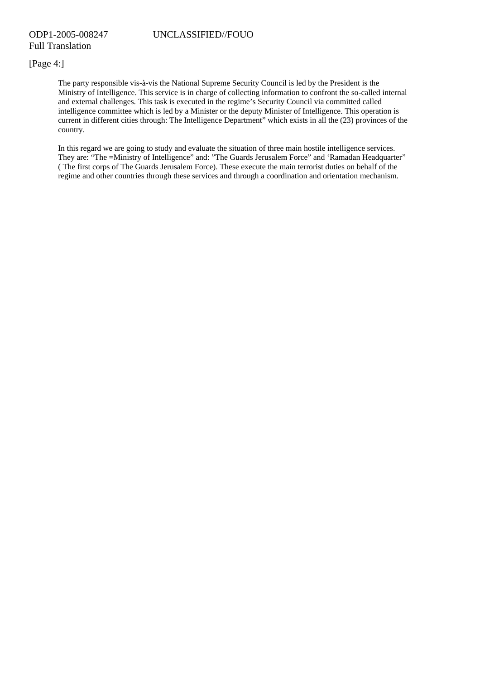## [Page 4:]

The party responsible vis-à-vis the National Supreme Security Council is led by the President is the Ministry of Intelligence. This service is in charge of collecting information to confront the so-called internal and external challenges. This task is executed in the regime's Security Council via committed called intelligence committee which is led by a Minister or the deputy Minister of Intelligence. This operation is current in different cities through: The Intelligence Department" which exists in all the (23) provinces of the country.

In this regard we are going to study and evaluate the situation of three main hostile intelligence services. They are: "The =Ministry of Intelligence" and: "The Guards Jerusalem Force" and 'Ramadan Headquarter" ( The first corps of The Guards Jerusalem Force). These execute the main terrorist duties on behalf of the regime and other countries through these services and through a coordination and orientation mechanism.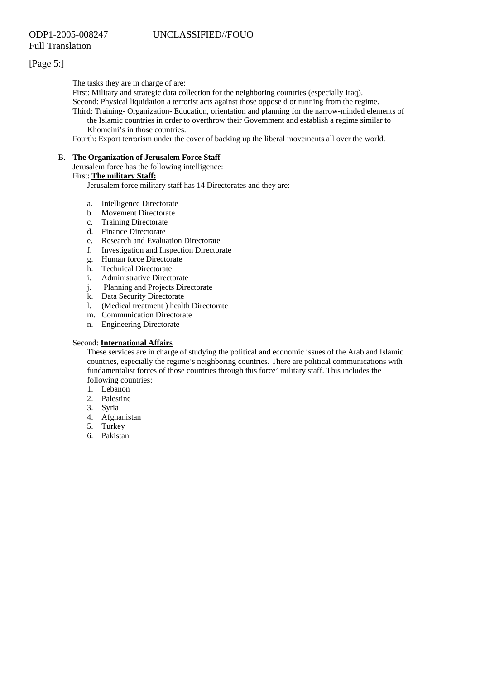# [Page 5:]

The tasks they are in charge of are:

First: Military and strategic data collection for the neighboring countries (especially Iraq).

Second: Physical liquidation a terrorist acts against those oppose d or running from the regime.

Third: Training- Organization- Education, orientation and planning for the narrow-minded elements of the Islamic countries in order to overthrow their Government and establish a regime similar to Khomeini's in those countries.

Fourth: Export terrorism under the cover of backing up the liberal movements all over the world.

## B. **The Organization of Jerusalem Force Staff**

Jerusalem force has the following intelligence:

#### First: **The military Staff:**

Jerusalem force military staff has 14 Directorates and they are:

- a. Intelligence Directorate
- b. Movement Directorate<br>c. Training Directorate
- Training Directorate
- d. Finance Directorate
- e. Research and Evaluation Directorate<br>f. Investigation and Inspection Director
- Investigation and Inspection Directorate
- g. Human force Directorate
- h. Technical Directorate
- i. Administrative Directorate
- j. Planning and Projects Directorate
- k. Data Security Directorate
- l. (Medical treatment ) health Directorate
- m. Communication Directorate
- n. Engineering Directorate

#### Second: **International Affairs**

These services are in charge of studying the political and economic issues of the Arab and Islamic countries, especially the regime's neighboring countries. There are political communications with fundamentalist forces of those countries through this force' military staff. This includes the following countries:

- 1. Lebanon
- 2. Palestine
- 3. Syria
- 4. Afghanistan
- 5. Turkey
- 6. Pakistan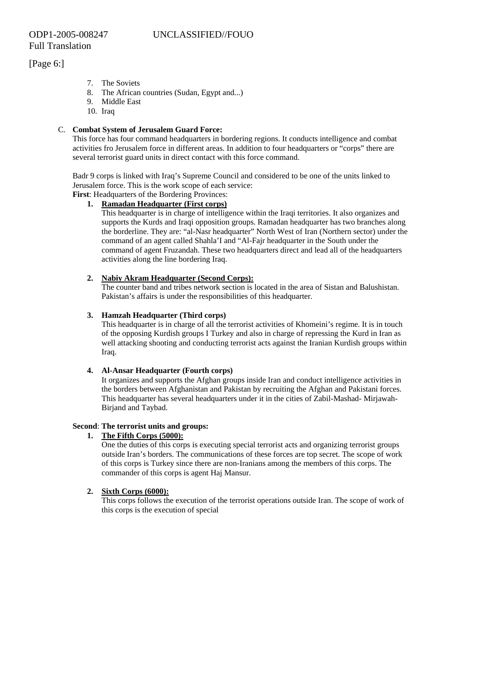[Page 6:]

- 7. The Soviets
- 8. The African countries (Sudan, Egypt and...)
- 9. Middle East
- 10. Iraq

## C. **Combat System of Jerusalem Guard Force:**

This force has four command headquarters in bordering regions. It conducts intelligence and combat activities fro Jerusalem force in different areas. In addition to four headquarters or "corps" there are several terrorist guard units in direct contact with this force command.

Badr 9 corps is linked with Iraq's Supreme Council and considered to be one of the units linked to Jerusalem force. This is the work scope of each service:

**First**: Headquarters of the Bordering Provinces:

#### **1. Ramadan Headquarter (First corps)**

This headquarter is in charge of intelligence within the Iraqi territories. It also organizes and supports the Kurds and Iraqi opposition groups. Ramadan headquarter has two branches along the borderline. They are: "al-Nasr headquarter" North West of Iran (Northern sector) under the command of an agent called Shahla'I and "Al-Fajr headquarter in the South under the command of agent Fruzandah. These two headquarters direct and lead all of the headquarters activities along the line bordering Iraq.

## **2. Nabiy Akram Headquarter (Second Corps):**

The counter band and tribes network section is located in the area of Sistan and Balushistan. Pakistan's affairs is under the responsibilities of this headquarter.

## **3. Hamzah Headquarter (Third corps)**

This headquarter is in charge of all the terrorist activities of Khomeini's regime. It is in touch of the opposing Kurdish groups I Turkey and also in charge of repressing the Kurd in Iran as well attacking shooting and conducting terrorist acts against the Iranian Kurdish groups within Iraq.

#### **4. Al-Ansar Headquarter (Fourth corps)**

It organizes and supports the Afghan groups inside Iran and conduct intelligence activities in the borders between Afghanistan and Pakistan by recruiting the Afghan and Pakistani forces. This headquarter has several headquarters under it in the cities of Zabil-Mashad- Mirjawah-Birjand and Taybad.

#### **Second**: **The terrorist units and groups:**

## **1. The Fifth Corps (5000):**

One the duties of this corps is executing special terrorist acts and organizing terrorist groups outside Iran's borders. The communications of these forces are top secret. The scope of work of this corps is Turkey since there are non-Iranians among the members of this corps. The commander of this corps is agent Haj Mansur.

#### **2. Sixth Corps (6000):**

This corps follows the execution of the terrorist operations outside Iran. The scope of work of this corps is the execution of special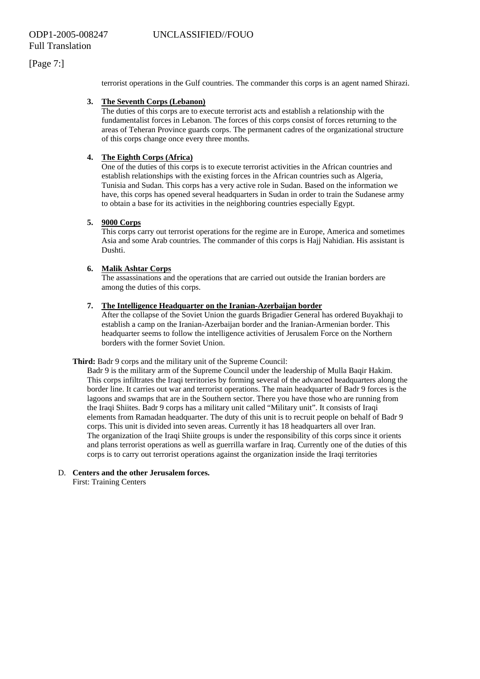# [Page 7:]

terrorist operations in the Gulf countries. The commander this corps is an agent named Shirazi.

#### **3. The Seventh Corps (Lebanon)**

The duties of this corps are to execute terrorist acts and establish a relationship with the fundamentalist forces in Lebanon. The forces of this corps consist of forces returning to the areas of Teheran Province guards corps. The permanent cadres of the organizational structure of this corps change once every three months.

## **4. The Eighth Corps (Africa)**

One of the duties of this corps is to execute terrorist activities in the African countries and establish relationships with the existing forces in the African countries such as Algeria, Tunisia and Sudan. This corps has a very active role in Sudan. Based on the information we have, this corps has opened several headquarters in Sudan in order to train the Sudanese army to obtain a base for its activities in the neighboring countries especially Egypt.

#### **5. 9000 Corps**

This corps carry out terrorist operations for the regime are in Europe, America and sometimes Asia and some Arab countries. The commander of this corps is Hajj Nahidian. His assistant is Dushti.

#### **6. Malik Ashtar Corps**

The assassinations and the operations that are carried out outside the Iranian borders are among the duties of this corps.

#### **7. The Intelligence Headquarter on the Iranian-Azerbaijan border**

After the collapse of the Soviet Union the guards Brigadier General has ordered Buyakhaji to establish a camp on the Iranian-Azerbaijan border and the Iranian-Armenian border. This headquarter seems to follow the intelligence activities of Jerusalem Force on the Northern borders with the former Soviet Union.

**Third:** Badr 9 corps and the military unit of the Supreme Council:

Badr 9 is the military arm of the Supreme Council under the leadership of Mulla Baqir Hakim. This corps infiltrates the Iraqi territories by forming several of the advanced headquarters along the border line. It carries out war and terrorist operations. The main headquarter of Badr 9 forces is the lagoons and swamps that are in the Southern sector. There you have those who are running from the Iraqi Shiites. Badr 9 corps has a military unit called "Military unit". It consists of Iraqi elements from Ramadan headquarter. The duty of this unit is to recruit people on behalf of Badr 9 corps. This unit is divided into seven areas. Currently it has 18 headquarters all over Iran. The organization of the Iraqi Shiite groups is under the responsibility of this corps since it orients and plans terrorist operations as well as guerrilla warfare in Iraq. Currently one of the duties of this corps is to carry out terrorist operations against the organization inside the Iraqi territories

#### D. **Centers and the other Jerusalem forces.**  First: Training Centers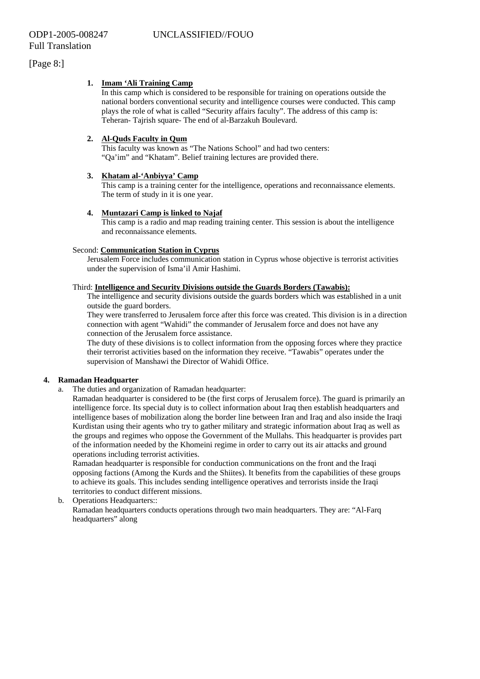[Page 8:]

## **1. Imam 'Ali Training Camp**

In this camp which is considered to be responsible for training on operations outside the national borders conventional security and intelligence courses were conducted. This camp plays the role of what is called "Security affairs faculty". The address of this camp is: Teheran- Tajrish square- The end of al-Barzakuh Boulevard.

## **2. Al-Quds Faculty in Qum**

This faculty was known as "The Nations School" and had two centers: "Qa'im" and "Khatam". Belief training lectures are provided there.

## **3. Khatam al-'Anbiyya' Camp**

This camp is a training center for the intelligence, operations and reconnaissance elements. The term of study in it is one year.

## **4. Muntazari Camp is linked to Najaf**

This camp is a radio and map reading training center. This session is about the intelligence and reconnaissance elements.

#### Second: **Communication Station in Cyprus**

Jerusalem Force includes communication station in Cyprus whose objective is terrorist activities under the supervision of Isma'il Amir Hashimi.

#### Third: **Intelligence and Security Divisions outside the Guards Borders (Tawabis):**

The intelligence and security divisions outside the guards borders which was established in a unit outside the guard borders.

They were transferred to Jerusalem force after this force was created. This division is in a direction connection with agent "Wahidi" the commander of Jerusalem force and does not have any connection of the Jerusalem force assistance.

The duty of these divisions is to collect information from the opposing forces where they practice their terrorist activities based on the information they receive. "Tawabis" operates under the supervision of Manshawi the Director of Wahidi Office.

## **4. Ramadan Headquarter**

a. The duties and organization of Ramadan headquarter:

Ramadan headquarter is considered to be (the first corps of Jerusalem force). The guard is primarily an intelligence force. Its special duty is to collect information about Iraq then establish headquarters and intelligence bases of mobilization along the border line between Iran and Iraq and also inside the Iraqi Kurdistan using their agents who try to gather military and strategic information about Iraq as well as the groups and regimes who oppose the Government of the Mullahs. This headquarter is provides part of the information needed by the Khomeini regime in order to carry out its air attacks and ground operations including terrorist activities.

Ramadan headquarter is responsible for conduction communications on the front and the Iraqi opposing factions (Among the Kurds and the Shiites). It benefits from the capabilities of these groups to achieve its goals. This includes sending intelligence operatives and terrorists inside the Iraqi territories to conduct different missions.

b. Operations Headquarters:: Ramadan headquarters conducts operations through two main headquarters. They are: "Al-Farq headquarters" along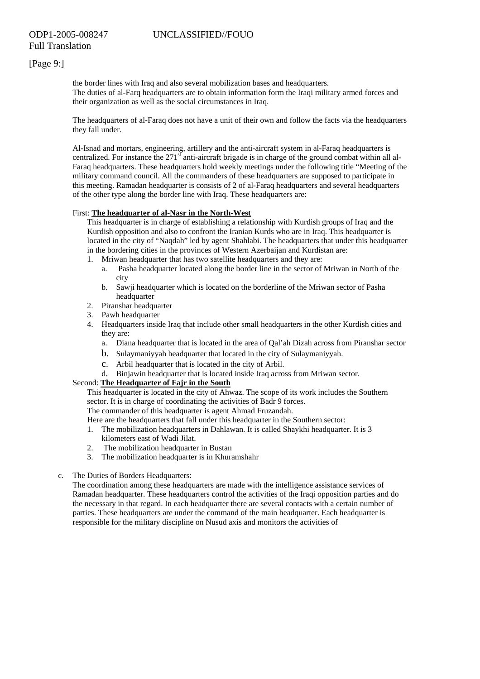# [Page 9:]

the border lines with Iraq and also several mobilization bases and headquarters. The duties of al-Farq headquarters are to obtain information form the Iraqi military armed forces and their organization as well as the social circumstances in Iraq.

The headquarters of al-Faraq does not have a unit of their own and follow the facts via the headquarters they fall under.

Al-Isnad and mortars, engineering, artillery and the anti-aircraft system in al-Faraq headquarters is centralized. For instance the  $271<sup>st</sup>$  anti-aircraft brigade is in charge of the ground combat within all al-Faraq headquarters. These headquarters hold weekly meetings under the following title "Meeting of the military command council. All the commanders of these headquarters are supposed to participate in this meeting. Ramadan headquarter is consists of 2 of al-Faraq headquarters and several headquarters of the other type along the border line with Iraq. These headquarters are:

#### First: **The headquarter of al-Nasr in the North-West**

This headquarter is in charge of establishing a relationship with Kurdish groups of Iraq and the Kurdish opposition and also to confront the Iranian Kurds who are in Iraq. This headquarter is located in the city of "Naqdah" led by agent Shahlabi. The headquarters that under this headquarter in the bordering cities in the provinces of Western Azerbaijan and Kurdistan are:

- 1. Mriwan headquarter that has two satellite headquarters and they are:
	- a. Pasha headquarter located along the border line in the sector of Mriwan in North of the city
	- b. Sawji headquarter which is located on the borderline of the Mriwan sector of Pasha headquarter
- 2. Piranshar headquarter
- 3. Pawh headquarter
- 4. Headquarters inside Iraq that include other small headquarters in the other Kurdish cities and they are:
	- a. Diana headquarter that is located in the area of Qal'ah Dizah across from Piranshar sector
	- b. Sulaymaniyyah headquarter that located in the city of Sulaymaniyyah.
	- c. Arbil headquarter that is located in the city of Arbil.
	- d. Binjawin headquarter that is located inside Iraq across from Mriwan sector.

## Second: **The Headquarter of Fajr in the South**

This headquarter is located in the city of Ahwaz. The scope of its work includes the Southern sector. It is in charge of coordinating the activities of Badr 9 forces.

The commander of this headquarter is agent Ahmad Fruzandah.

Here are the headquarters that fall under this headquarter in the Southern sector:

- 1. The mobilization headquarters in Dahlawan. It is called Shaykhi headquarter. It is 3 kilometers east of Wadi Jilat.
- 2. The mobilization headquarter in Bustan
- 3. The mobilization headquarter is in Khuramshahr
- c. The Duties of Borders Headquarters:

The coordination among these headquarters are made with the intelligence assistance services of Ramadan headquarter. These headquarters control the activities of the Iraqi opposition parties and do the necessary in that regard. In each headquarter there are several contacts with a certain number of parties. These headquarters are under the command of the main headquarter. Each headquarter is responsible for the military discipline on Nusud axis and monitors the activities of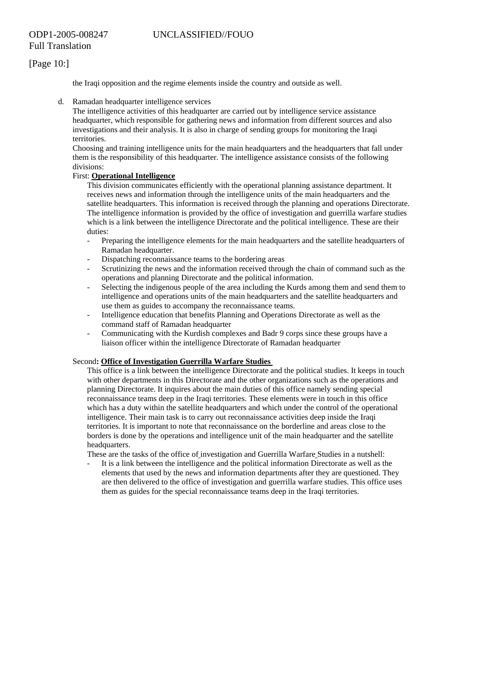# [Page 10:]

the Iraqi opposition and the regime elements inside the country and outside as well.

d. Ramadan headquarter intelligence services

The intelligence activities of this headquarter are carried out by intelligence service assistance headquarter, which responsible for gathering news and information from different sources and also investigations and their analysis. It is also in charge of sending groups for monitoring the Iraqi territories.

Choosing and training intelligence units for the main headquarters and the headquarters that fall under them is the responsibility of this headquarter. The intelligence assistance consists of the following divisions:

## First: **Operational Intelligence**

This division communicates efficiently with the operational planning assistance department. It receives news and information through the intelligence units of the main headquarters and the satellite headquarters. This information is received through the planning and operations Directorate. The intelligence information is provided by the office of investigation and guerrilla warfare studies which is a link between the intelligence Directorate and the political intelligence. These are their duties:

- Preparing the intelligence elements for the main headquarters and the satellite headquarters of Ramadan headquarter.
- Dispatching reconnaissance teams to the bordering areas
- Scrutinizing the news and the information received through the chain of command such as the operations and planning Directorate and the political information.
- Selecting the indigenous people of the area including the Kurds among them and send them to intelligence and operations units of the main headquarters and the satellite headquarters and use them as guides to accompany the reconnaissance teams.
- Intelligence education that benefits Planning and Operations Directorate as well as the command staff of Ramadan headquarter
- Communicating with the Kurdish complexes and Badr 9 corps since these groups have a liaison officer within the intelligence Directorate of Ramadan headquarter

#### Second**: Office of Investigation Guerrilla Warfare Studies**

This office is a link between the intelligence Directorate and the political studies. It keeps in touch with other departments in this Directorate and the other organizations such as the operations and planning Directorate. It inquires about the main duties of this office namely sending special reconnaissance teams deep in the Iraqi territories. These elements were in touch in this office which has a duty within the satellite headquarters and which under the control of the operational intelligence. Their main task is to carry out reconnaissance activities deep inside the Iraqi territories. It is important to note that reconnaissance on the borderline and areas close to the borders is done by the operations and intelligence unit of the main headquarter and the satellite headquarters.

These are the tasks of the office of investigation and Guerrilla Warfare Studies in a nutshell:

- It is a link between the intelligence and the political information Directorate as well as the elements that used by the news and information departments after they are questioned. They are then delivered to the office of investigation and guerrilla warfare studies. This office uses them as guides for the special reconnaissance teams deep in the Iraqi territories.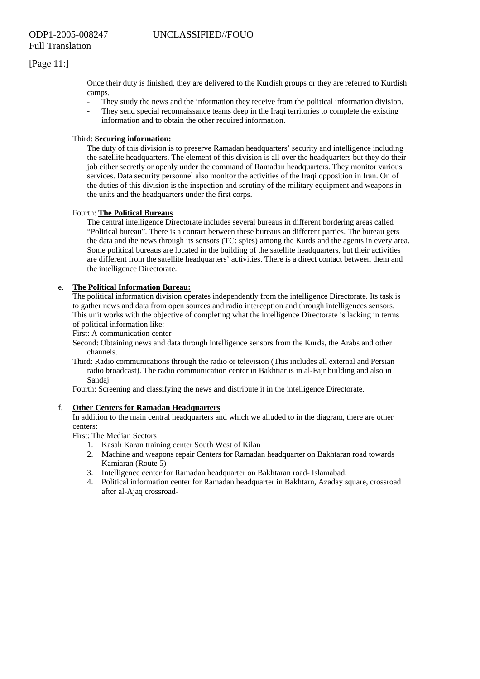# [Page 11:]

Once their duty is finished, they are delivered to the Kurdish groups or they are referred to Kurdish camps.

- They study the news and the information they receive from the political information division.
- They send special reconnaissance teams deep in the Iraqi territories to complete the existing information and to obtain the other required information.

## Third: **Securing information:**

The duty of this division is to preserve Ramadan headquarters' security and intelligence including the satellite headquarters. The element of this division is all over the headquarters but they do their job either secretly or openly under the command of Ramadan headquarters. They monitor various services. Data security personnel also monitor the activities of the Iraqi opposition in Iran. On of the duties of this division is the inspection and scrutiny of the military equipment and weapons in the units and the headquarters under the first corps.

## Fourth: **The Political Bureaus**

The central intelligence Directorate includes several bureaus in different bordering areas called "Political bureau". There is a contact between these bureaus an different parties. The bureau gets the data and the news through its sensors (TC: spies) among the Kurds and the agents in every area. Some political bureaus are located in the building of the satellite headquarters, but their activities are different from the satellite headquarters' activities. There is a direct contact between them and the intelligence Directorate.

## e. **The Political Information Bureau:**

The political information division operates independently from the intelligence Directorate. Its task is to gather news and data from open sources and radio interception and through intelligences sensors. This unit works with the objective of completing what the intelligence Directorate is lacking in terms of political information like:

First: A communication center

Second: Obtaining news and data through intelligence sensors from the Kurds, the Arabs and other channels.

Third: Radio communications through the radio or television (This includes all external and Persian radio broadcast). The radio communication center in Bakhtiar is in al-Fajr building and also in Sandaj.

Fourth: Screening and classifying the news and distribute it in the intelligence Directorate.

#### f. **Other Centers for Ramadan Headquarters**

In addition to the main central headquarters and which we alluded to in the diagram, there are other centers:

First: The Median Sectors

- 1. Kasah Karan training center South West of Kilan
- 2. Machine and weapons repair Centers for Ramadan headquarter on Bakhtaran road towards Kamiaran (Route 5)
- 3. Intelligence center for Ramadan headquarter on Bakhtaran road- Islamabad.
- 4. Political information center for Ramadan headquarter in Bakhtarn, Azaday square, crossroad after al-Ajaq crossroad-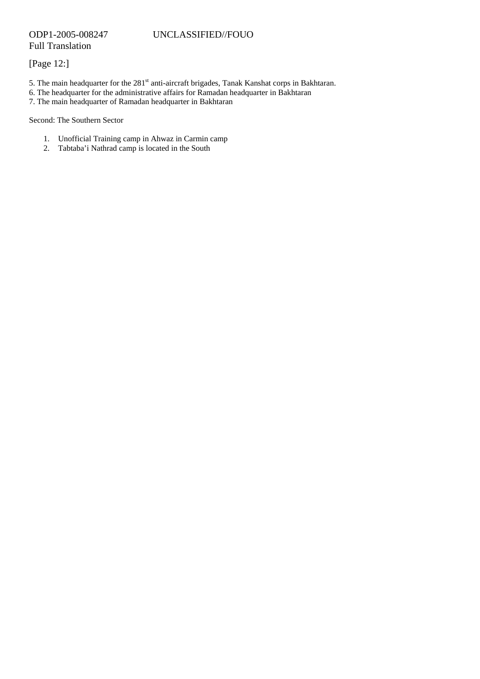# [Page 12:]

- 5. The main headquarter for the 281<sup>st</sup> anti-aircraft brigades, Tanak Kanshat corps in Bakhtaran.
- 6. The headquarter for the administrative affairs for Ramadan headquarter in Bakhtaran
- 7. The main headquarter of Ramadan headquarter in Bakhtaran

Second: The Southern Sector

- 1. Unofficial Training camp in Ahwaz in Carmin camp
- 2. Tabtaba'i Nathrad camp is located in the South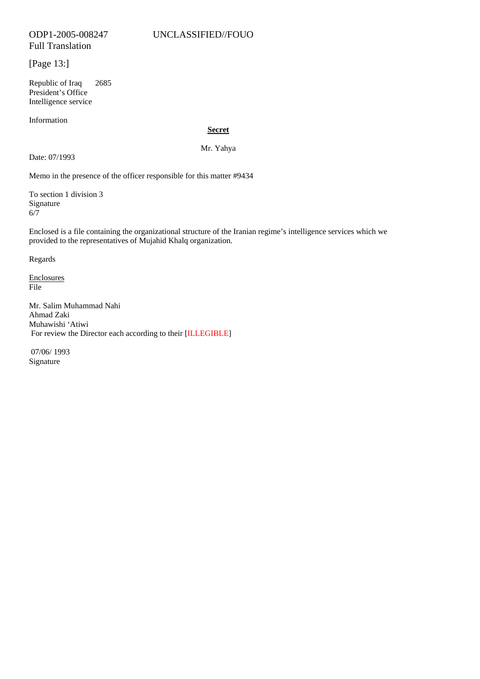# [Page 13:]

Republic of Iraq 2685 President's Office Intelligence service

Information

## **Secret**

Mr. Yahya

Date: 07/1993

Memo in the presence of the officer responsible for this matter #9434

To section 1 division 3 Signature 6/7

Enclosed is a file containing the organizational structure of the Iranian regime's intelligence services which we provided to the representatives of Mujahid Khalq organization.

Regards

Enclosures File

Mr. Salim Muhammad Nahi Ahmad Zaki Muhawishi 'Atiwi For review the Director each according to their [ILLEGIBLE]

 07/06/ 1993 Signature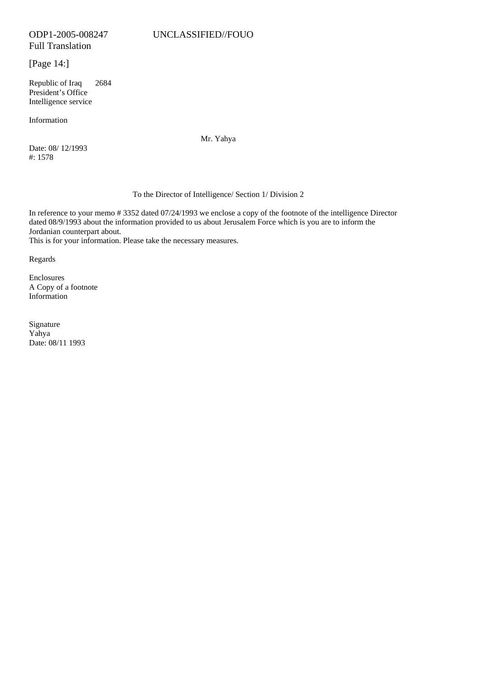Full Translation

[Page 14:]

Republic of Iraq 2684 President's Office Intelligence service

Information

Date: 08/ 12/1993 #: 1578

Mr. Yahya

## To the Director of Intelligence/ Section 1/ Division 2

In reference to your memo # 3352 dated 07/24/1993 we enclose a copy of the footnote of the intelligence Director dated 08/9/1993 about the information provided to us about Jerusalem Force which is you are to inform the Jordanian counterpart about.

This is for your information. Please take the necessary measures.

Regards

Enclosures A Copy of a footnote Information

Signature Yahya Date: 08/11 1993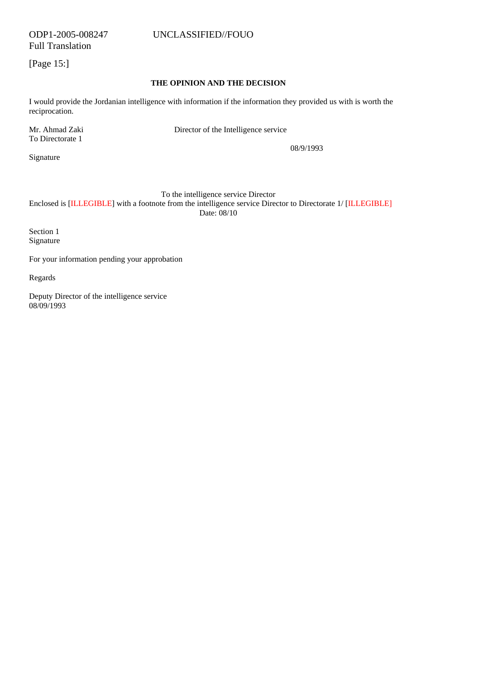Full Translation

[Page 15:]

## **THE OPINION AND THE DECISION**

I would provide the Jordanian intelligence with information if the information they provided us with is worth the reciprocation.

To Directorate 1

Mr. Ahmad Zaki Director of the Intelligence service

 08/9/1993 Signature

To the intelligence service Director

Enclosed is [ILLEGIBLE] with a footnote from the intelligence service Director to Directorate 1/ [ILLEGIBLE] Date: 08/10

Section 1 Signature

For your information pending your approbation

Regards

Deputy Director of the intelligence service 08/09/1993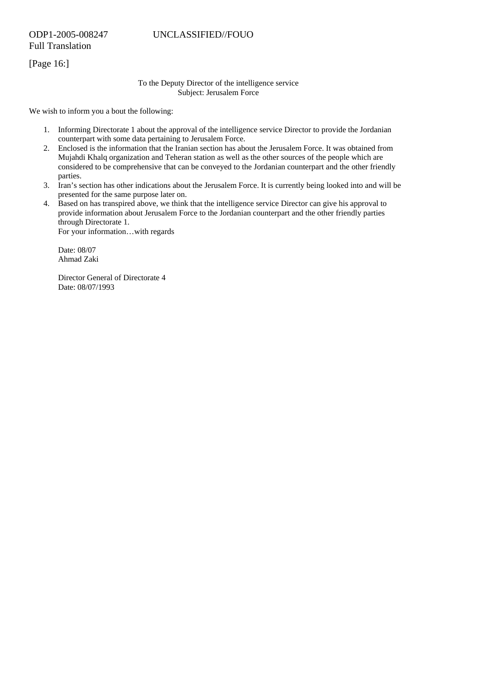Full Translation

[Page 16:]

#### To the Deputy Director of the intelligence service Subject: Jerusalem Force

We wish to inform you a bout the following:

- 1. Informing Directorate 1 about the approval of the intelligence service Director to provide the Jordanian counterpart with some data pertaining to Jerusalem Force.
- 2. Enclosed is the information that the Iranian section has about the Jerusalem Force. It was obtained from Mujahdi Khalq organization and Teheran station as well as the other sources of the people which are considered to be comprehensive that can be conveyed to the Jordanian counterpart and the other friendly parties.
- 3. Iran's section has other indications about the Jerusalem Force. It is currently being looked into and will be presented for the same purpose later on.
- 4. Based on has transpired above, we think that the intelligence service Director can give his approval to provide information about Jerusalem Force to the Jordanian counterpart and the other friendly parties through Directorate 1.

For your information…with regards

Date: 08/07 Ahmad Zaki

Director General of Directorate 4 Date: 08/07/1993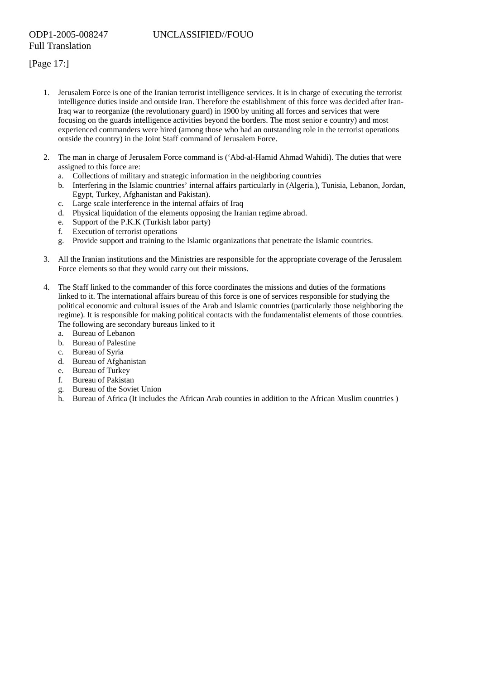- 1. Jerusalem Force is one of the Iranian terrorist intelligence services. It is in charge of executing the terrorist intelligence duties inside and outside Iran. Therefore the establishment of this force was decided after Iran-Iraq war to reorganize (the revolutionary guard) in 1900 by uniting all forces and services that were focusing on the guards intelligence activities beyond the borders. The most senior e country) and most experienced commanders were hired (among those who had an outstanding role in the terrorist operations outside the country) in the Joint Staff command of Jerusalem Force.
- 2. The man in charge of Jerusalem Force command is ('Abd-al-Hamid Ahmad Wahidi). The duties that were assigned to this force are:
	- a. Collections of military and strategic information in the neighboring countries
	- b. Interfering in the Islamic countries' internal affairs particularly in (Algeria.), Tunisia, Lebanon, Jordan, Egypt, Turkey, Afghanistan and Pakistan).
	- c. Large scale interference in the internal affairs of Iraq
	- d. Physical liquidation of the elements opposing the Iranian regime abroad.
	- e. Support of the P.K.K (Turkish labor party)
	- f. Execution of terrorist operations
	- g. Provide support and training to the Islamic organizations that penetrate the Islamic countries.
- 3. All the Iranian institutions and the Ministries are responsible for the appropriate coverage of the Jerusalem Force elements so that they would carry out their missions.
- 4. The Staff linked to the commander of this force coordinates the missions and duties of the formations linked to it. The international affairs bureau of this force is one of services responsible for studying the political economic and cultural issues of the Arab and Islamic countries (particularly those neighboring the regime). It is responsible for making political contacts with the fundamentalist elements of those countries. The following are secondary bureaus linked to it
	- a. Bureau of Lebanon
	- b. Bureau of Palestine
	- c. Bureau of Syria
	- d. Bureau of Afghanistan
	- e. Bureau of Turkey
	- f. Bureau of Pakistan
	- g. Bureau of the Soviet Union
	- h. Bureau of Africa (It includes the African Arab counties in addition to the African Muslim countries )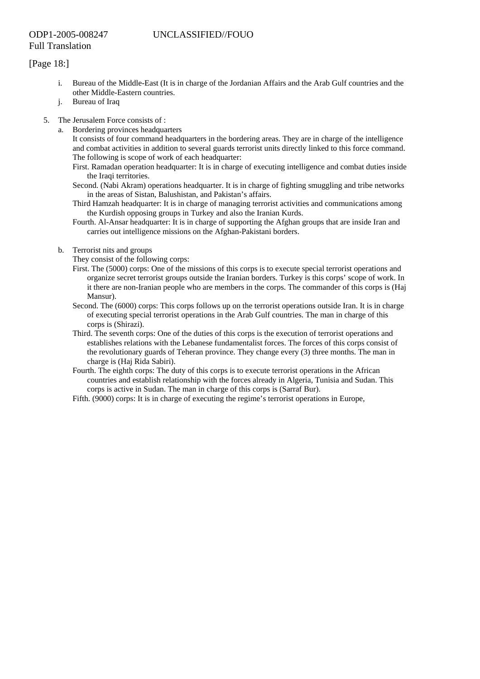# [Page 18:]

- i. Bureau of the Middle-East (It is in charge of the Jordanian Affairs and the Arab Gulf countries and the other Middle-Eastern countries.
- j. Bureau of Iraq
- 5. The Jerusalem Force consists of :
	- a. Bordering provinces headquarters
		- It consists of four command headquarters in the bordering areas. They are in charge of the intelligence and combat activities in addition to several guards terrorist units directly linked to this force command. The following is scope of work of each headquarter:
		- First. Ramadan operation headquarter: It is in charge of executing intelligence and combat duties inside the Iraqi territories.
		- Second. (Nabi Akram) operations headquarter. It is in charge of fighting smuggling and tribe networks in the areas of Sistan, Balushistan, and Pakistan's affairs.
		- Third Hamzah headquarter: It is in charge of managing terrorist activities and communications among the Kurdish opposing groups in Turkey and also the Iranian Kurds.
		- Fourth. Al-Ansar headquarter: It is in charge of supporting the Afghan groups that are inside Iran and carries out intelligence missions on the Afghan-Pakistani borders.
	- b. Terrorist nits and groups

They consist of the following corps:

- First. The (5000) corps: One of the missions of this corps is to execute special terrorist operations and organize secret terrorist groups outside the Iranian borders. Turkey is this corps' scope of work. In it there are non-Iranian people who are members in the corps. The commander of this corps is (Haj Mansur).
- Second. The (6000) corps: This corps follows up on the terrorist operations outside Iran. It is in charge of executing special terrorist operations in the Arab Gulf countries. The man in charge of this corps is (Shirazi).
- Third. The seventh corps: One of the duties of this corps is the execution of terrorist operations and establishes relations with the Lebanese fundamentalist forces. The forces of this corps consist of the revolutionary guards of Teheran province. They change every (3) three months. The man in charge is (Haj Rida Sabiri).
- Fourth. The eighth corps: The duty of this corps is to execute terrorist operations in the African countries and establish relationship with the forces already in Algeria, Tunisia and Sudan. This corps is active in Sudan. The man in charge of this corps is (Sarraf Bur).
- Fifth. (9000) corps: It is in charge of executing the regime's terrorist operations in Europe,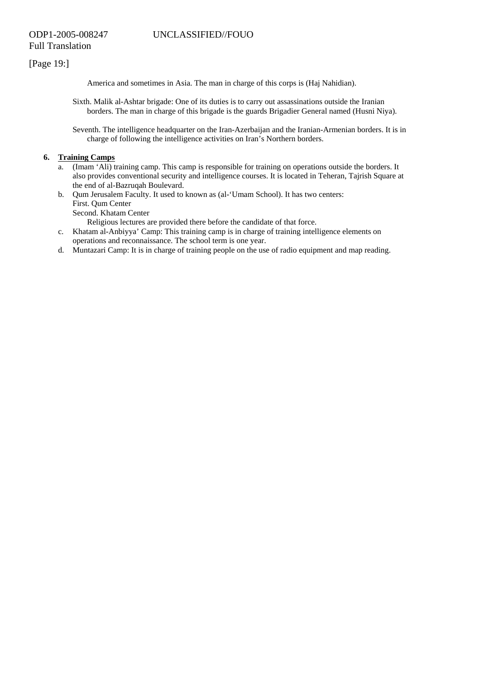# [Page 19:]

America and sometimes in Asia. The man in charge of this corps is (Haj Nahidian).

Sixth. Malik al-Ashtar brigade: One of its duties is to carry out assassinations outside the Iranian borders. The man in charge of this brigade is the guards Brigadier General named (Husni Niya).

Seventh. The intelligence headquarter on the Iran-Azerbaijan and the Iranian-Armenian borders. It is in charge of following the intelligence activities on Iran's Northern borders.

## **6. Training Camps**

- a. (Imam 'Ali) training camp. This camp is responsible for training on operations outside the borders. It also provides conventional security and intelligence courses. It is located in Teheran, Tajrish Square at the end of al-Bazruqah Boulevard.
- b. Qum Jerusalem Faculty. It used to known as (al-'Umam School). It has two centers: First. Qum Center

Second. Khatam Center

Religious lectures are provided there before the candidate of that force.

- c. Khatam al-Anbiyya' Camp: This training camp is in charge of training intelligence elements on operations and reconnaissance. The school term is one year.
- d. Muntazari Camp: It is in charge of training people on the use of radio equipment and map reading.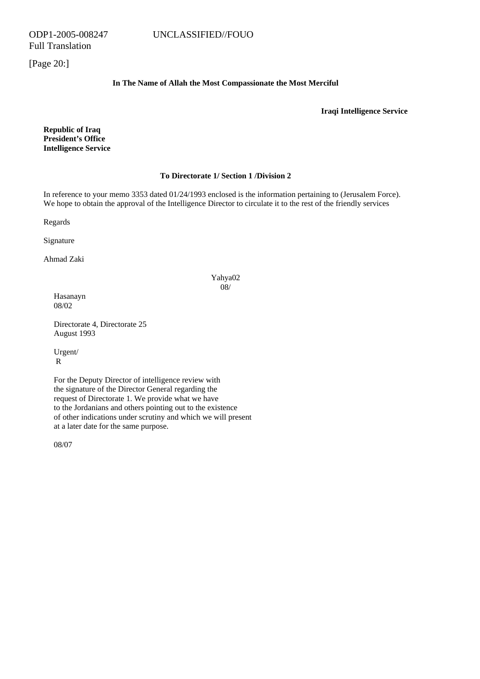[Page 20:]

## **In The Name of Allah the Most Compassionate the Most Merciful**

**Iraqi Intelligence Service** 

**Republic of Iraq President's Office Intelligence Service** 

#### **To Directorate 1/ Section 1 /Division 2**

In reference to your memo 3353 dated 01/24/1993 enclosed is the information pertaining to (Jerusalem Force). We hope to obtain the approval of the Intelligence Director to circulate it to the rest of the friendly services

Regards

Signature

Ahmad Zaki

## Yahya02 08/

Hasanayn 08/02

Directorate 4, Directorate 25 August 1993

Urgent/ R

For the Deputy Director of intelligence review with the signature of the Director General regarding the request of Directorate 1. We provide what we have to the Jordanians and others pointing out to the existence of other indications under scrutiny and which we will present at a later date for the same purpose.

08/07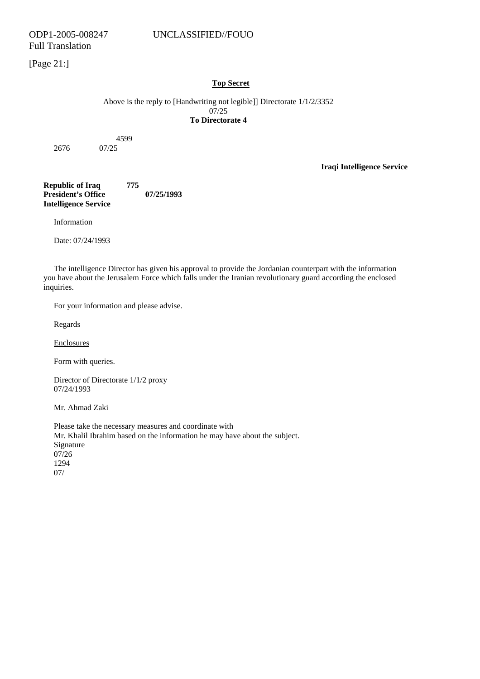[Page 21:]

## **Top Secret**

Above is the reply to [Handwriting not legible]] Directorate 1/1/2/3352 07/25 **To Directorate 4** 

4599

2676 07/25

**Iraqi Intelligence Service** 

**Republic of Iraq 775 President's Office 07/25/1993 Intelligence Service** 

Information

Date: 07/24/1993

The intelligence Director has given his approval to provide the Jordanian counterpart with the information you have about the Jerusalem Force which falls under the Iranian revolutionary guard according the enclosed inquiries.

For your information and please advise.

Regards

Enclosures

Form with queries.

Director of Directorate 1/1/2 proxy 07/24/1993

Mr. Ahmad Zaki

Please take the necessary measures and coordinate with Mr. Khalil Ibrahim based on the information he may have about the subject. Signature 07/26 1294 07/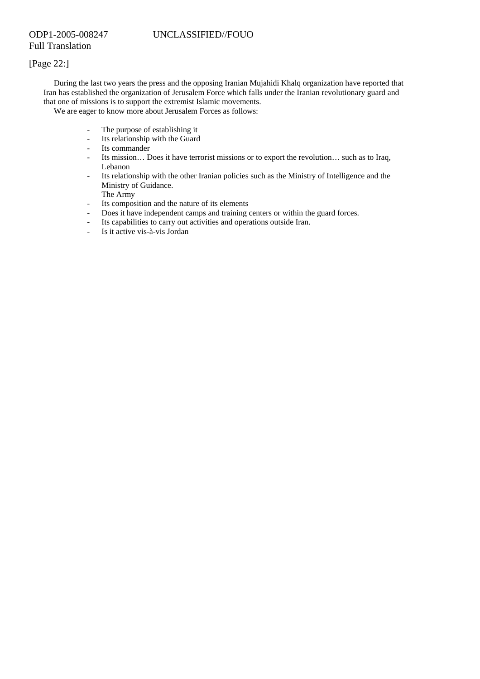# [Page 22:]

During the last two years the press and the opposing Iranian Mujahidi Khalq organization have reported that Iran has established the organization of Jerusalem Force which falls under the Iranian revolutionary guard and that one of missions is to support the extremist Islamic movements.

We are eager to know more about Jerusalem Forces as follows:

- The purpose of establishing it
- Its relationship with the Guard
- Its commander
- Its mission… Does it have terrorist missions or to export the revolution… such as to Iraq, Lebanon
- Its relationship with the other Iranian policies such as the Ministry of Intelligence and the Ministry of Guidance.

The Army

- Its composition and the nature of its elements
- Does it have independent camps and training centers or within the guard forces.
- Its capabilities to carry out activities and operations outside Iran.
- Is it active vis-à-vis Jordan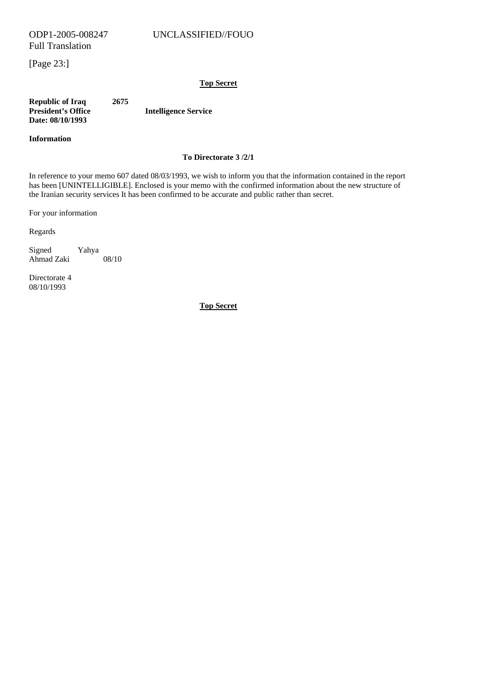Full Translation

[Page 23:]

## **Top Secret**

**Republic of Iraq 2675 Intelligence Service Date: 08/10/1993** 

## **Information**

## **To Directorate 3 /2/1**

In reference to your memo 607 dated 08/03/1993, we wish to inform you that the information contained in the report has been [UNINTELLIGIBLE]. Enclosed is your memo with the confirmed information about the new structure of the Iranian security services It has been confirmed to be accurate and public rather than secret.

For your information

Regards

Signed Yahya Ahmad Zaki 08/10

Directorate 4 08/10/1993

**Top Secret**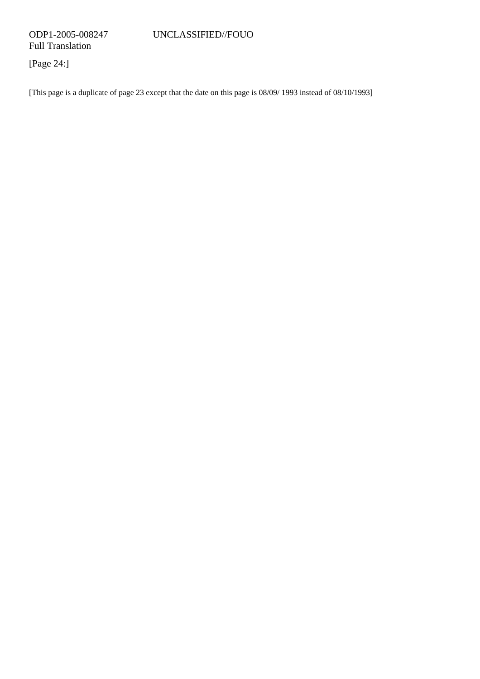[Page 24:]

[This page is a duplicate of page 23 except that the date on this page is 08/09/ 1993 instead of 08/10/1993]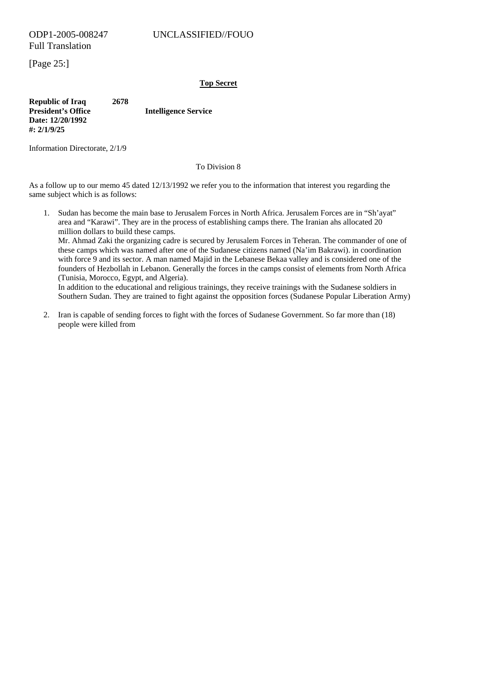[Page 25:]

## **Top Secret**

**Republic of Iraq 2678 President's Office Manual Example 2 Intelligence Service Date: 12/20/1992 #: 2/1/9/25** 

Information Directorate, 2/1/9

## To Division 8

As a follow up to our memo 45 dated 12/13/1992 we refer you to the information that interest you regarding the same subject which is as follows:

1. Sudan has become the main base to Jerusalem Forces in North Africa. Jerusalem Forces are in "Sh'ayat" area and "Karawi". They are in the process of establishing camps there. The Iranian ahs allocated 20 million dollars to build these camps.

Mr. Ahmad Zaki the organizing cadre is secured by Jerusalem Forces in Teheran. The commander of one of these camps which was named after one of the Sudanese citizens named (Na'im Bakrawi). in coordination with force 9 and its sector. A man named Majid in the Lebanese Bekaa valley and is considered one of the founders of Hezbollah in Lebanon. Generally the forces in the camps consist of elements from North Africa (Tunisia, Morocco, Egypt, and Algeria).

In addition to the educational and religious trainings, they receive trainings with the Sudanese soldiers in Southern Sudan. They are trained to fight against the opposition forces (Sudanese Popular Liberation Army)

2. Iran is capable of sending forces to fight with the forces of Sudanese Government. So far more than (18) people were killed from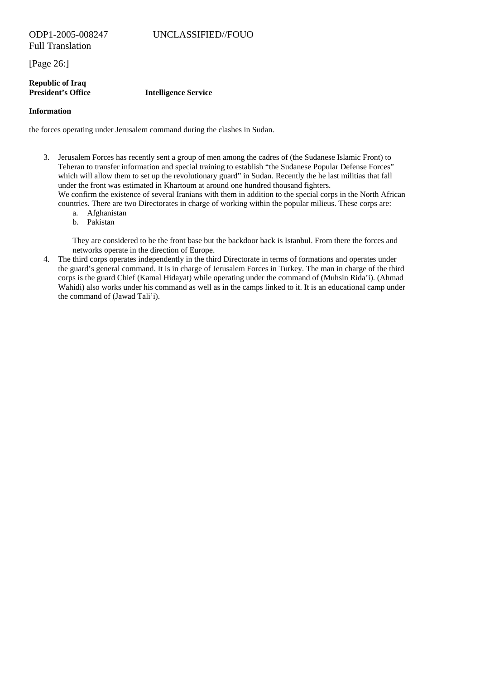[Page 26:]

## **Republic of Iraq President's Office Intelligence Service**

# **Information**

the forces operating under Jerusalem command during the clashes in Sudan.

- 3. Jerusalem Forces has recently sent a group of men among the cadres of (the Sudanese Islamic Front) to Teheran to transfer information and special training to establish "the Sudanese Popular Defense Forces" which will allow them to set up the revolutionary guard" in Sudan. Recently the he last militias that fall under the front was estimated in Khartoum at around one hundred thousand fighters. We confirm the existence of several Iranians with them in addition to the special corps in the North African
	- countries. There are two Directorates in charge of working within the popular milieus. These corps are:
		- a. Afghanistan
		- b. Pakistan

They are considered to be the front base but the backdoor back is Istanbul. From there the forces and networks operate in the direction of Europe.

4. The third corps operates independently in the third Directorate in terms of formations and operates under the guard's general command. It is in charge of Jerusalem Forces in Turkey. The man in charge of the third corps is the guard Chief (Kamal Hidayat) while operating under the command of (Muhsin Rida'i). (Ahmad Wahidi) also works under his command as well as in the camps linked to it. It is an educational camp under the command of (Jawad Tali'i).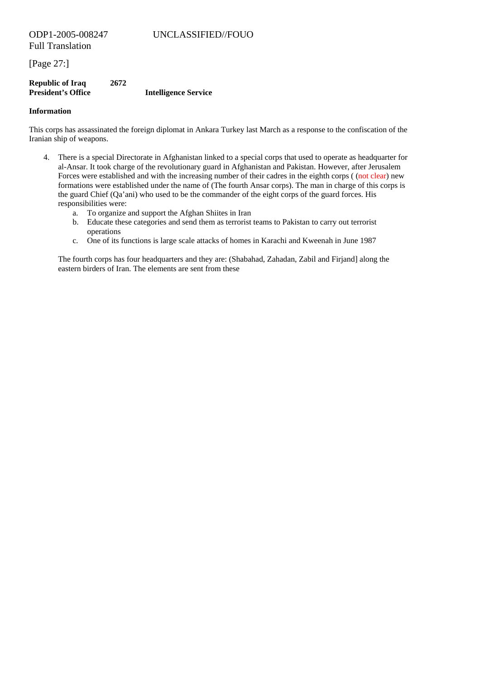[Page 27:]

## **Republic of Iraq 2672 Intelligence Service**

#### **Information**

This corps has assassinated the foreign diplomat in Ankara Turkey last March as a response to the confiscation of the Iranian ship of weapons.

- 4. There is a special Directorate in Afghanistan linked to a special corps that used to operate as headquarter for al-Ansar. It took charge of the revolutionary guard in Afghanistan and Pakistan. However, after Jerusalem Forces were established and with the increasing number of their cadres in the eighth corps ((not clear) new formations were established under the name of (The fourth Ansar corps). The man in charge of this corps is the guard Chief (Qa'ani) who used to be the commander of the eight corps of the guard forces. His responsibilities were:
	- a. To organize and support the Afghan Shiites in Iran
	- b. Educate these categories and send them as terrorist teams to Pakistan to carry out terrorist operations
	- c. One of its functions is large scale attacks of homes in Karachi and Kweenah in June 1987

The fourth corps has four headquarters and they are: (Shabahad, Zahadan, Zabil and Firjand] along the eastern birders of Iran. The elements are sent from these